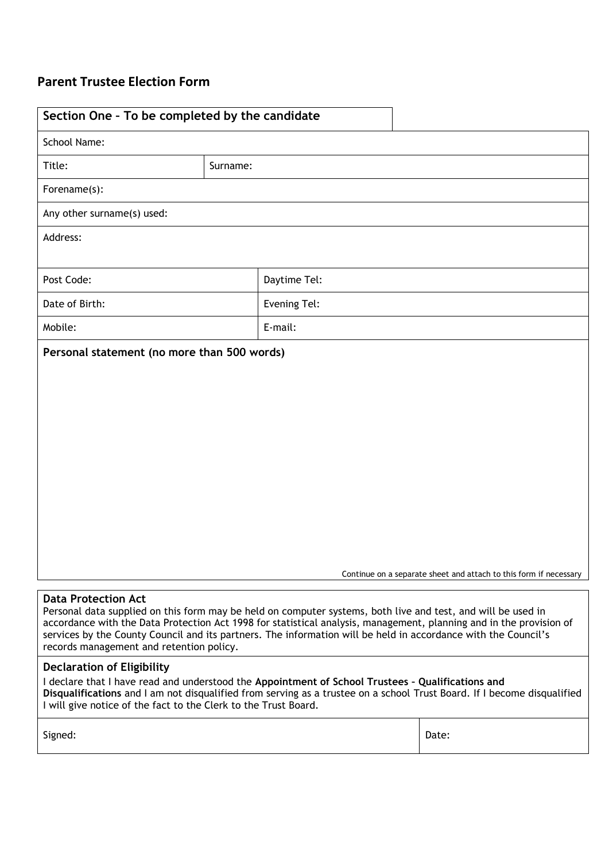## **Parent Trustee Election Form**

| Section One - To be completed by the candidate                                                                                                                                                                                                                                                                                                                                                    |          |              |                                                                   |  |
|---------------------------------------------------------------------------------------------------------------------------------------------------------------------------------------------------------------------------------------------------------------------------------------------------------------------------------------------------------------------------------------------------|----------|--------------|-------------------------------------------------------------------|--|
| <b>School Name:</b>                                                                                                                                                                                                                                                                                                                                                                               |          |              |                                                                   |  |
| Title:                                                                                                                                                                                                                                                                                                                                                                                            | Surname: |              |                                                                   |  |
| Forename(s):                                                                                                                                                                                                                                                                                                                                                                                      |          |              |                                                                   |  |
| Any other surname(s) used:                                                                                                                                                                                                                                                                                                                                                                        |          |              |                                                                   |  |
| Address:                                                                                                                                                                                                                                                                                                                                                                                          |          |              |                                                                   |  |
| Post Code:                                                                                                                                                                                                                                                                                                                                                                                        |          | Daytime Tel: |                                                                   |  |
| Date of Birth:                                                                                                                                                                                                                                                                                                                                                                                    |          | Evening Tel: |                                                                   |  |
| Mobile:                                                                                                                                                                                                                                                                                                                                                                                           |          | E-mail:      |                                                                   |  |
| Personal statement (no more than 500 words)                                                                                                                                                                                                                                                                                                                                                       |          |              |                                                                   |  |
| <b>Data Protection Act</b>                                                                                                                                                                                                                                                                                                                                                                        |          |              | Continue on a separate sheet and attach to this form if necessary |  |
| Personal data supplied on this form may be held on computer systems, both live and test, and will be used in<br>accordance with the Data Protection Act 1998 for statistical analysis, management, planning and in the provision of<br>services by the County Council and its partners. The information will be held in accordance with the Council's<br>records management and retention policy. |          |              |                                                                   |  |
| <b>Declaration of Eligibility</b><br>I declare that I have read and understood the Appointment of School Trustees - Qualifications and<br>Disqualifications and I am not disqualified from serving as a trustee on a school Trust Board. If I become disqualified<br>I will give notice of the fact to the Clerk to the Trust Board.                                                              |          |              |                                                                   |  |
| Signed:                                                                                                                                                                                                                                                                                                                                                                                           |          |              | Date:                                                             |  |